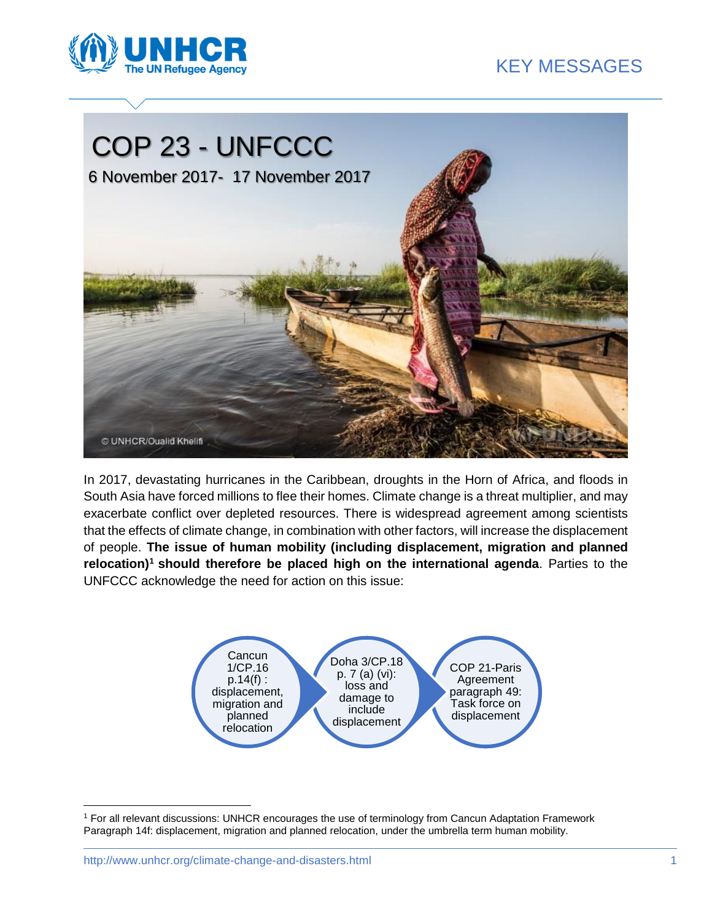





In 2017, devastating hurricanes in the Caribbean, droughts in the Horn of Africa, and floods in South Asia have forced millions to flee their homes. Climate change is a threat multiplier, and may exacerbate conflict over depleted resources. There is widespread agreement among scientists that the effects of climate change, in combination with other factors, will increase the displacement of people. **The issue of human mobility (including displacement, migration and planned relocation)<sup>1</sup> should therefore be placed high on the international agenda**. Parties to the UNFCCC acknowledge the need for action on this issue:



 $\overline{a}$ 

<sup>1</sup> For all relevant discussions: UNHCR encourages the use of terminology from Cancun Adaptation Framework Paragraph 14f: displacement, migration and planned relocation, under the umbrella term human mobility.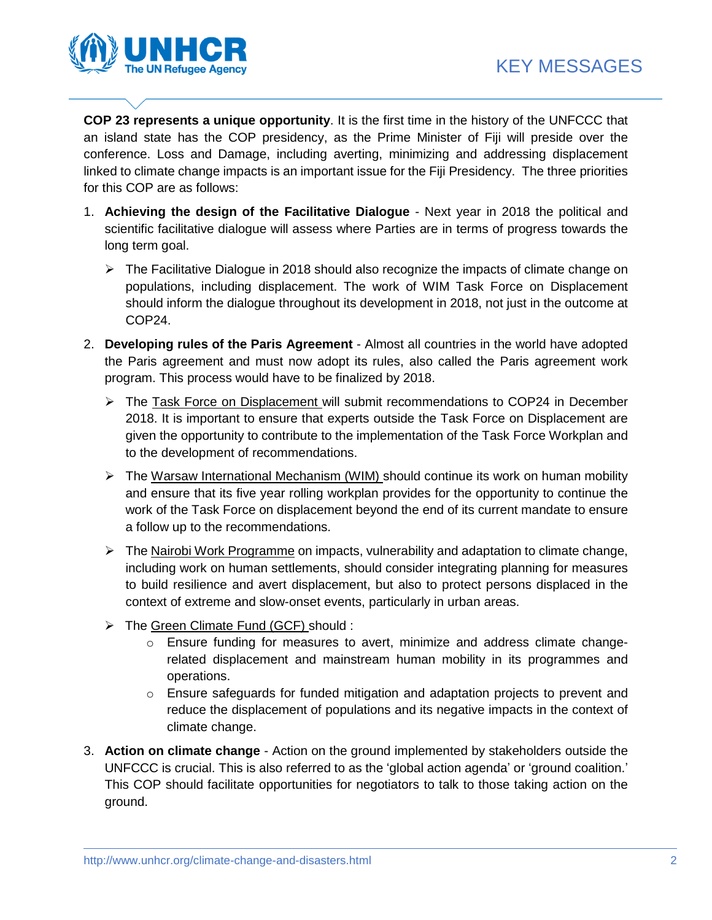

**COP 23 represents a unique opportunity**. It is the first time in the history of the UNFCCC that an island state has the COP presidency, as the Prime Minister of Fiji will preside over the conference. Loss and Damage, including averting, minimizing and addressing displacement linked to climate change impacts is an important issue for the Fiji Presidency. The three priorities for this COP are as follows:

- 1. **Achieving the design of the Facilitative Dialogue** Next year in 2018 the political and scientific facilitative dialogue will assess where Parties are in terms of progress towards the long term goal.
	- $\triangleright$  The Facilitative Dialogue in 2018 should also recognize the impacts of climate change on populations, including displacement. The work of WIM Task Force on Displacement should inform the dialogue throughout its development in 2018, not just in the outcome at COP24.
- 2. **Developing rules of the Paris Agreement** Almost all countries in the world have adopted the Paris agreement and must now adopt its rules, also called the Paris agreement work program. This process would have to be finalized by 2018.
	- The Task Force on Displacement will submit recommendations to COP24 in December 2018. It is important to ensure that experts outside the Task Force on Displacement are given the opportunity to contribute to the implementation of the Task Force Workplan and to the development of recommendations.
	- $\triangleright$  The Warsaw International Mechanism (WIM) should continue its work on human mobility and ensure that its five year rolling workplan provides for the opportunity to continue the work of the Task Force on displacement beyond the end of its current mandate to ensure a follow up to the recommendations.
	- $\triangleright$  The Nairobi Work Programme on impacts, vulnerability and adaptation to climate change, including work on human settlements, should consider integrating planning for measures to build resilience and avert displacement, but also to protect persons displaced in the context of extreme and slow-onset events, particularly in urban areas.
	- $\triangleright$  The Green Climate Fund (GCF) should :
		- o Ensure funding for measures to avert, minimize and address climate changerelated displacement and mainstream human mobility in its programmes and operations.
		- $\circ$  Ensure safeguards for funded mitigation and adaptation projects to prevent and reduce the displacement of populations and its negative impacts in the context of climate change.
- 3. **Action on climate change** Action on the ground implemented by stakeholders outside the UNFCCC is crucial. This is also referred to as the 'global action agenda' or 'ground coalition.' This COP should facilitate opportunities for negotiators to talk to those taking action on the ground.